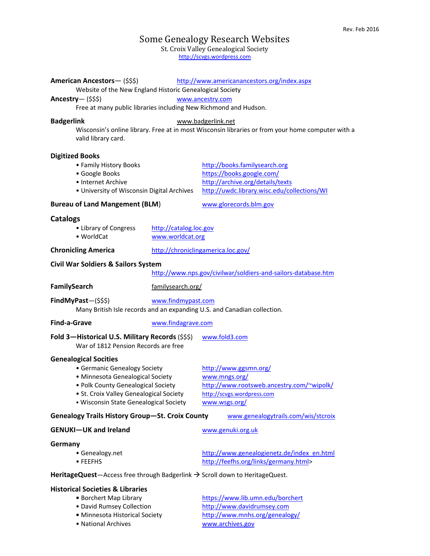# Some Genealogy Research Websites

St. Croix Valley Genealogical Society

http://scvgs.wordpress.com

| American Ancestors-(\$\$\$)<br>Website of the New England Historic Genealogical Society                                                                                                                                     |                                            | http://www.americanancestors.org/index.aspx                                                                                                   |
|-----------------------------------------------------------------------------------------------------------------------------------------------------------------------------------------------------------------------------|--------------------------------------------|-----------------------------------------------------------------------------------------------------------------------------------------------|
| Ancestry— $($ \$\$\$)<br>www.ancestry.com                                                                                                                                                                                   |                                            |                                                                                                                                               |
| Free at many public libraries including New Richmond and Hudson.                                                                                                                                                            |                                            |                                                                                                                                               |
|                                                                                                                                                                                                                             |                                            |                                                                                                                                               |
| <b>Badgerlink</b><br>www.badgerlink.net<br>Wisconsin's online library. Free at in most Wisconsin libraries or from your home computer with a<br>valid library card.                                                         |                                            |                                                                                                                                               |
| <b>Digitized Books</b><br>• Family History Books<br>· Google Books<br>• Internet Archive<br>• University of Wisconsin Digital Archives                                                                                      |                                            | http://books.familysearch.org<br>https://books.google.com/<br>http://archive.org/details/texts<br>http://uwdc.library.wisc.edu/collections/WI |
| <b>Bureau of Land Mangement (BLM)</b>                                                                                                                                                                                       |                                            | www.glorecords.blm.gov                                                                                                                        |
| <b>Catalogs</b><br>• Library of Congress<br>• WorldCat                                                                                                                                                                      | http://catalog.loc.gov<br>www.worldcat.org |                                                                                                                                               |
| <b>Chronicling America</b>                                                                                                                                                                                                  |                                            | http://chroniclingamerica.loc.gov/                                                                                                            |
| <b>Civil War Soldiers &amp; Sailors System</b><br>http://www.nps.gov/civilwar/soldiers-and-sailors-database.htm                                                                                                             |                                            |                                                                                                                                               |
| FamilySearch                                                                                                                                                                                                                | familysearch.org/                          |                                                                                                                                               |
| $FindMy Past-(\$$ \$\$)<br>www.findmypast.com<br>Many British Isle records and an expanding U.S. and Canadian collection.                                                                                                   |                                            |                                                                                                                                               |
| <b>Find-a-Grave</b>                                                                                                                                                                                                         | www.findagrave.com                         |                                                                                                                                               |
| Fold 3-Historical U.S. Military Records (\$\$\$)<br>War of 1812 Pension Records are free                                                                                                                                    |                                            | www.fold3.com                                                                                                                                 |
| <b>Genealogical Socities</b><br>• Germanic Genealogy Society<br>• Minnesota Genealogical Society<br>• Polk County Genealogical Society<br>• St. Croix Valley Genealogical Society<br>· Wisconsin State Genealogical Society |                                            | http://www.ggsmn.org/<br>www.mngs.org/<br>http://www.rootsweb.ancestry.com/~wipolk/<br>http://scvgs.wordpress.com<br>www.wsgs.org/            |
| <b>Genealogy Trails History Group-St. Croix County</b><br>www.genealogytrails.com/wis/stcroix                                                                                                                               |                                            |                                                                                                                                               |
| <b>GENUKI-UK and Ireland</b>                                                                                                                                                                                                |                                            | www.genuki.org.uk                                                                                                                             |
| Germany<br>• Genealogy.net<br>• FEEFHS                                                                                                                                                                                      |                                            | http://www.genealogienetz.de/index_en.html<br>http://feefhs.org/links/germany.html>                                                           |
| HeritageQuest-Access free through Badgerlink $\rightarrow$ Scroll down to HeritageQuest.                                                                                                                                    |                                            |                                                                                                                                               |
| <b>Historical Societies &amp; Libraries</b><br>• Borchert Map Library<br>• David Rumsey Collection<br>· Minnesota Historical Society<br>• National Archives                                                                 |                                            | https://www.lib.umn.edu/borchert<br>http://www.davidrumsey.com<br>http://www.mnhs.org/genealogy/<br>www.archives.gov                          |